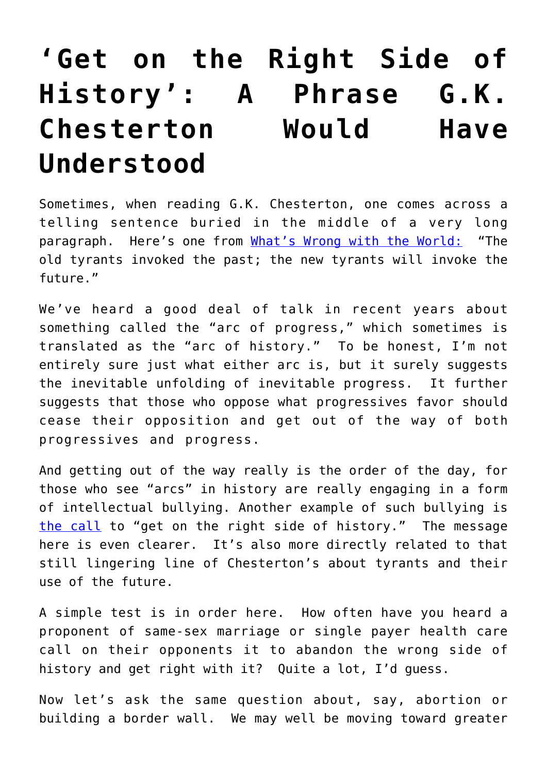## **['Get on the Right Side of](https://intellectualtakeout.org/2018/03/get-on-the-right-side-of-history-a-phrase-g-k-chesterton-would-have-understood/) [History': A Phrase G.K.](https://intellectualtakeout.org/2018/03/get-on-the-right-side-of-history-a-phrase-g-k-chesterton-would-have-understood/) [Chesterton Would Have](https://intellectualtakeout.org/2018/03/get-on-the-right-side-of-history-a-phrase-g-k-chesterton-would-have-understood/) [Understood](https://intellectualtakeout.org/2018/03/get-on-the-right-side-of-history-a-phrase-g-k-chesterton-would-have-understood/)**

Sometimes, when reading G.K. Chesterton, one comes across a telling sentence buried in the middle of a very long paragraph. Here's one from [What's Wrong with the World:](http://amzn.to/2CR0Re1)"The old tyrants invoked the past; the new tyrants will invoke the future."

We've heard a good deal of talk in recent years about something called the "arc of progress," which sometimes is translated as the "arc of history." To be honest, I'm not entirely sure just what either arc is, but it surely suggests the inevitable unfolding of inevitable progress. It further suggests that those who oppose what progressives favor should cease their opposition and get out of the way of both progressives and progress.

And getting out of the way really is the order of the day, for those who see "arcs" in history are really engaging in a form of intellectual bullying. Another example of such bullying is [the call](http://www.slate.com/blogs/lexicon_valley/2014/04/17/the_phrase_the_wrong_side_of_history_around_for_more_than_a_century_is_getting.html) to "get on the right side of history." The message here is even clearer. It's also more directly related to that still lingering line of Chesterton's about tyrants and their use of the future.

A simple test is in order here. How often have you heard a proponent of same-sex marriage or single payer health care call on their opponents it to abandon the wrong side of history and get right with it? Quite a lot, I'd guess.

Now let's ask the same question about, say, abortion or building a border wall. We may well be moving toward greater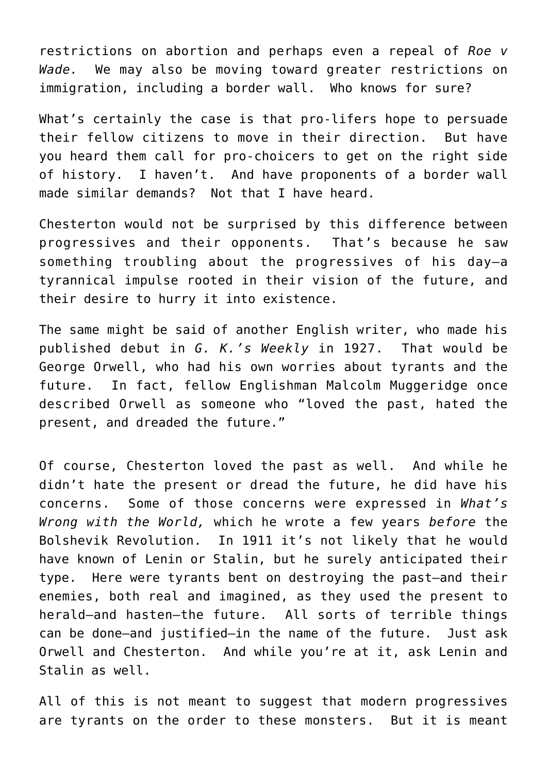restrictions on abortion and perhaps even a repeal of *Roe v Wade.* We may also be moving toward greater restrictions on immigration, including a border wall. Who knows for sure?

What's certainly the case is that pro-lifers hope to persuade their fellow citizens to move in their direction. But have you heard them call for pro-choicers to get on the right side of history. I haven't. And have proponents of a border wall made similar demands? Not that I have heard.

Chesterton would not be surprised by this difference between progressives and their opponents. That's because he saw something troubling about the progressives of his day—a tyrannical impulse rooted in their vision of the future, and their desire to hurry it into existence.

The same might be said of another English writer, who made his published debut in *G. K.'s Weekly* in 1927. That would be George Orwell, who had his own worries about tyrants and the future. In fact, fellow Englishman Malcolm Muggeridge once described Orwell as someone who "loved the past, hated the present, and dreaded the future."

Of course, Chesterton loved the past as well. And while he didn't hate the present or dread the future, he did have his concerns. Some of those concerns were expressed in *What's Wrong with the World,* which he wrote a few years *before* the Bolshevik Revolution. In 1911 it's not likely that he would have known of Lenin or Stalin, but he surely anticipated their type. Here were tyrants bent on destroying the past—and their enemies, both real and imagined, as they used the present to herald—and hasten—the future. All sorts of terrible things can be done—and justified—in the name of the future. Just ask Orwell and Chesterton. And while you're at it, ask Lenin and Stalin as well.

All of this is not meant to suggest that modern progressives are tyrants on the order to these monsters. But it is meant